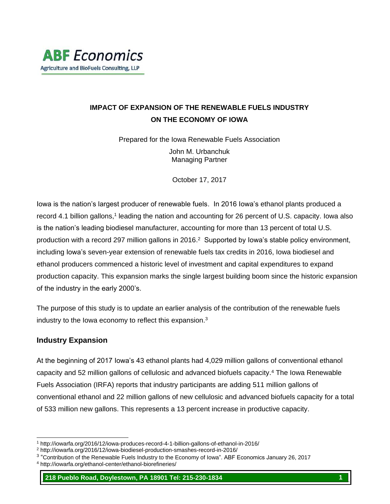## **IMPACT OF EXPANSION OF THE RENEWABLE FUELS INDUSTRY ON THE ECONOMY OF IOWA**

Prepared for the Iowa Renewable Fuels Association

John M. Urbanchuk Managing Partner

October 17, 2017

Iowa is the nation's largest producer of renewable fuels. In 2016 Iowa's ethanol plants produced a record 4.1 billion gallons,<sup>1</sup> leading the nation and accounting for 26 percent of U.S. capacity. Iowa also is the nation's leading biodiesel manufacturer, accounting for more than 13 percent of total U.S. production with a record 297 million gallons in 2016.<sup>2</sup> Supported by Iowa's stable policy environment, including Iowa's seven-year extension of renewable fuels tax credits in 2016, Iowa biodiesel and ethanol producers commenced a historic level of investment and capital expenditures to expand production capacity. This expansion marks the single largest building boom since the historic expansion of the industry in the early 2000's.

The purpose of this study is to update an earlier analysis of the contribution of the renewable fuels industry to the Iowa economy to reflect this expansion.<sup>3</sup>

### **Industry Expansion**

l

At the beginning of 2017 Iowa's 43 ethanol plants had 4,029 million gallons of conventional ethanol capacity and 52 million gallons of cellulosic and advanced biofuels capacity.<sup>4</sup> The Iowa Renewable Fuels Association (IRFA) reports that industry participants are adding 511 million gallons of conventional ethanol and 22 million gallons of new cellulosic and advanced biofuels capacity for a total of 533 million new gallons. This represents a 13 percent increase in productive capacity.

<sup>1</sup> http://iowarfa.org/2016/12/iowa-produces-record-4-1-billion-gallons-of-ethanol-in-2016/

<sup>2</sup> http://iowarfa.org/2016/12/iowa-biodiesel-production-smashes-record-in-2016/

<sup>&</sup>lt;sup>3</sup> "Contribution of the Renewable Fuels Industry to the Economy of Iowa". ABF Economics January 26, 2017

<sup>4</sup> http://iowarfa.org/ethanol-center/ethanol-biorefineries/

<sup>218</sup> Pueblo Road, Doylestown, PA 18901 Tel: 215-230-1834 1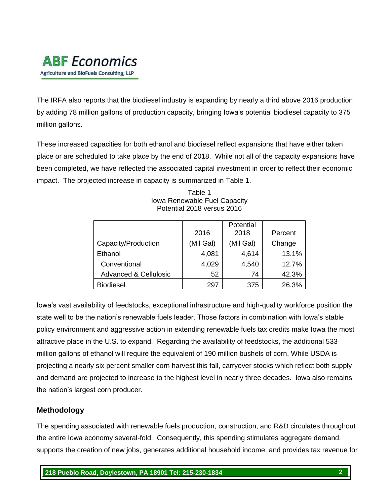# **ABF** Economics Agriculture and BioFuels Consulting, LLP

The IRFA also reports that the biodiesel industry is expanding by nearly a third above 2016 production by adding 78 million gallons of production capacity, bringing Iowa's potential biodiesel capacity to 375 million gallons.

These increased capacities for both ethanol and biodiesel reflect expansions that have either taken place or are scheduled to take place by the end of 2018. While not all of the capacity expansions have been completed, we have reflected the associated capital investment in order to reflect their economic impact. The projected increase in capacity is summarized in Table 1.

|                                  | 2016      | Potential<br>2018 | Percent |
|----------------------------------|-----------|-------------------|---------|
| Capacity/Production              | (Mil Gal) | (Mil Gal)         | Change  |
| Ethanol                          | 4,081     | 4,614             | 13.1%   |
| Conventional                     | 4,029     | 4,540             | 12.7%   |
| <b>Advanced &amp; Cellulosic</b> | 52        | 74                | 42.3%   |
| <b>Biodiesel</b>                 | 297       | 375               | 26.3%   |

Table 1 Iowa Renewable Fuel Capacity Potential 2018 versus 2016

Iowa's vast availability of feedstocks, exceptional infrastructure and high-quality workforce position the state well to be the nation's renewable fuels leader. Those factors in combination with Iowa's stable policy environment and aggressive action in extending renewable fuels tax credits make Iowa the most attractive place in the U.S. to expand. Regarding the availability of feedstocks, the additional 533 million gallons of ethanol will require the equivalent of 190 million bushels of corn. While USDA is projecting a nearly six percent smaller corn harvest this fall, carryover stocks which reflect both supply and demand are projected to increase to the highest level in nearly three decades. Iowa also remains the nation's largest corn producer.

### **Methodology**

The spending associated with renewable fuels production, construction, and R&D circulates throughout the entire Iowa economy several-fold. Consequently, this spending stimulates aggregate demand, supports the creation of new jobs, generates additional household income, and provides tax revenue for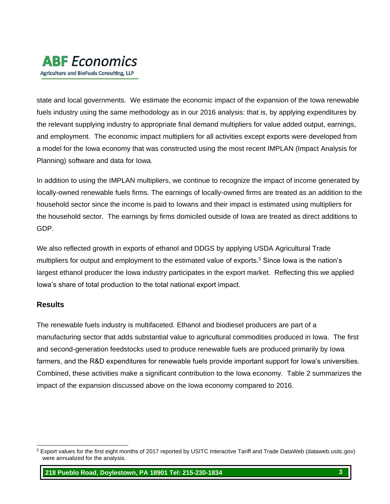# **ABF** Economics Agriculture and BioFuels Consulting, LLP

state and local governments. We estimate the economic impact of the expansion of the Iowa renewable fuels industry using the same methodology as in our 2016 analysis: that is, by applying expenditures by the relevant supplying industry to appropriate final demand multipliers for value added output, earnings, and employment. The economic impact multipliers for all activities except exports were developed from a model for the Iowa economy that was constructed using the most recent IMPLAN (Impact Analysis for Planning) software and data for Iowa.

In addition to using the IMPLAN multipliers, we continue to recognize the impact of income generated by locally-owned renewable fuels firms. The earnings of locally-owned firms are treated as an addition to the household sector since the income is paid to Iowans and their impact is estimated using multipliers for the household sector. The earnings by firms domiciled outside of Iowa are treated as direct additions to GDP.

We also reflected growth in exports of ethanol and DDGS by applying USDA Agricultural Trade multipliers for output and employment to the estimated value of exports.<sup>5</sup> Since Iowa is the nation's largest ethanol producer the Iowa industry participates in the export market. Reflecting this we applied Iowa's share of total production to the total national export impact.

### **Results**

The renewable fuels industry is multifaceted. Ethanol and biodiesel producers are part of a manufacturing sector that adds substantial value to agricultural commodities produced in Iowa. The first and second-generation feedstocks used to produce renewable fuels are produced primarily by Iowa farmers, and the R&D expenditures for renewable fuels provide important support for Iowa's universities. Combined, these activities make a significant contribution to the Iowa economy. Table 2 summarizes the impact of the expansion discussed above on the Iowa economy compared to 2016.

l <sup>5</sup> Export values for the first eight months of 2017 reported by USITC Interactive Tariff and Trade DataWeb (dataweb.usitc.gov) were annualized for the analysis.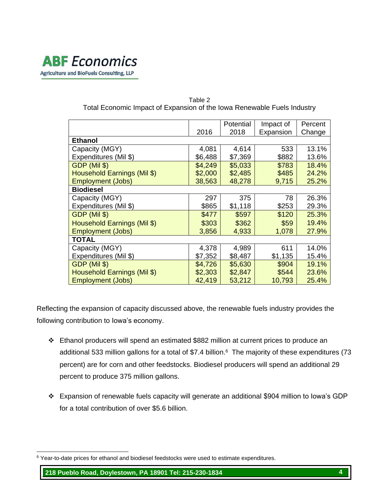

| Fuldi Economic impact of Expansion of the lowa Renewable Fuels industry |         |           |           |         |  |  |
|-------------------------------------------------------------------------|---------|-----------|-----------|---------|--|--|
|                                                                         |         | Potential | Impact of | Percent |  |  |
|                                                                         | 2016    | 2018      | Expansion | Change  |  |  |
| <b>Ethanol</b>                                                          |         |           |           |         |  |  |
| Capacity (MGY)                                                          | 4,081   | 4,614     | 533       | 13.1%   |  |  |
| Expenditures (Mil \$)                                                   | \$6,488 | \$7,369   | \$882     | 13.6%   |  |  |
| GDP (Mil \$)                                                            | \$4,249 | \$5,033   | \$783     | 18.4%   |  |  |
| Household Earnings (Mil \$)                                             | \$2,000 | \$2,485   | \$485     | 24.2%   |  |  |
| <b>Employment (Jobs)</b>                                                | 38,563  | 48,278    | 9,715     | 25.2%   |  |  |
| <b>Biodiesel</b>                                                        |         |           |           |         |  |  |
| Capacity (MGY)                                                          | 297     | 375       | 78        | 26.3%   |  |  |
| Expenditures (Mil \$)                                                   | \$865   | \$1,118   | \$253     | 29.3%   |  |  |
| GDP (Mil \$)                                                            | \$477   | \$597     | \$120     | 25.3%   |  |  |
| Household Earnings (Mil \$)                                             | \$303   | \$362     | \$59      | 19.4%   |  |  |
| <b>Employment (Jobs)</b>                                                | 3,856   | 4,933     | 1,078     | 27.9%   |  |  |
| TOTAL                                                                   |         |           |           |         |  |  |
| Capacity (MGY)                                                          | 4,378   | 4,989     | 611       | 14.0%   |  |  |
| Expenditures (Mil \$)                                                   | \$7,352 | \$8,487   | \$1,135   | 15.4%   |  |  |
| GDP (Mil \$)                                                            | \$4,726 | \$5,630   | \$904     | 19.1%   |  |  |
| Household Earnings (Mil \$)                                             | \$2,303 | \$2,847   | \$544     | 23.6%   |  |  |
| <b>Employment (Jobs)</b>                                                | 42,419  | 53,212    | 10,793    | 25.4%   |  |  |

#### Table 2 Total Economic Impact of Expansion of the Iowa Renewable Fuels Industry

Reflecting the expansion of capacity discussed above, the renewable fuels industry provides the following contribution to Iowa's economy.

- ❖ Ethanol producers will spend an estimated \$882 million at current prices to produce an additional 533 million gallons for a total of \$7.4 billion. 6 The majority of these expenditures (73 percent) are for corn and other feedstocks. Biodiesel producers will spend an additional 29 percent to produce 375 million gallons.
- ❖ Expansion of renewable fuels capacity will generate an additional \$904 million to Iowa's GDP for a total contribution of over \$5.6 billion.

l <sup>6</sup> Year-to-date prices for ethanol and biodiesel feedstocks were used to estimate expenditures.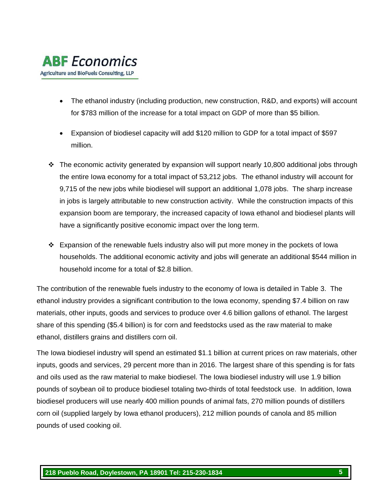

- The ethanol industry (including production, new construction, R&D, and exports) will account for \$783 million of the increase for a total impact on GDP of more than \$5 billion.
- Expansion of biodiesel capacity will add \$120 million to GDP for a total impact of \$597 million.
- $\cdot \cdot$  The economic activity generated by expansion will support nearly 10,800 additional jobs through the entire Iowa economy for a total impact of 53,212 jobs. The ethanol industry will account for 9,715 of the new jobs while biodiesel will support an additional 1,078 jobs. The sharp increase in jobs is largely attributable to new construction activity. While the construction impacts of this expansion boom are temporary, the increased capacity of Iowa ethanol and biodiesel plants will have a significantly positive economic impact over the long term.
- ❖ Expansion of the renewable fuels industry also will put more money in the pockets of Iowa households. The additional economic activity and jobs will generate an additional \$544 million in household income for a total of \$2.8 billion.

The contribution of the renewable fuels industry to the economy of Iowa is detailed in Table 3. The ethanol industry provides a significant contribution to the Iowa economy, spending \$7.4 billion on raw materials, other inputs, goods and services to produce over 4.6 billion gallons of ethanol. The largest share of this spending (\$5.4 billion) is for corn and feedstocks used as the raw material to make ethanol, distillers grains and distillers corn oil.

The Iowa biodiesel industry will spend an estimated \$1.1 billion at current prices on raw materials, other inputs, goods and services, 29 percent more than in 2016. The largest share of this spending is for fats and oils used as the raw material to make biodiesel. The Iowa biodiesel industry will use 1.9 billion pounds of soybean oil to produce biodiesel totaling two-thirds of total feedstock use. In addition, Iowa biodiesel producers will use nearly 400 million pounds of animal fats, 270 million pounds of distillers corn oil (supplied largely by Iowa ethanol producers), 212 million pounds of canola and 85 million pounds of used cooking oil.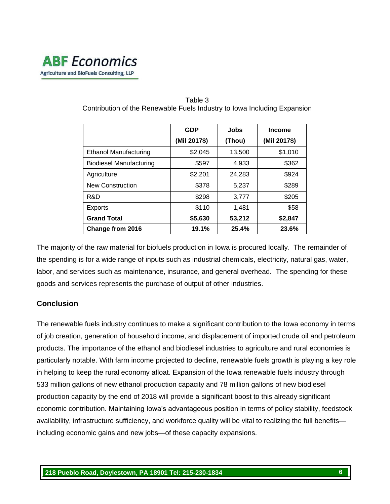

|                                | GDP          | <b>Jobs</b> | <b>Income</b> |  |
|--------------------------------|--------------|-------------|---------------|--|
|                                | (Mil 2017\$) | (Thou)      | (Mil 2017\$)  |  |
| <b>Ethanol Manufacturing</b>   | \$2,045      | 13,500      | \$1,010       |  |
| <b>Biodiesel Manufacturing</b> | \$597        | 4,933       | \$362         |  |
| Agriculture                    | \$2,201      | 24,283      | \$924         |  |
| <b>New Construction</b>        | \$378        | 5,237       | \$289         |  |
| R&D                            | \$298        | 3,777       | \$205         |  |
| Exports                        | \$110        | 1,481       | \$58          |  |
| <b>Grand Total</b>             | \$5,630      | 53,212      | \$2,847       |  |
| Change from 2016               | 19.1%        | 25.4%       | 23.6%         |  |

#### Table 3 Contribution of the Renewable Fuels Industry to Iowa Including Expansion

The majority of the raw material for biofuels production in Iowa is procured locally. The remainder of the spending is for a wide range of inputs such as industrial chemicals, electricity, natural gas, water, labor, and services such as maintenance, insurance, and general overhead. The spending for these goods and services represents the purchase of output of other industries.

### **Conclusion**

The renewable fuels industry continues to make a significant contribution to the Iowa economy in terms of job creation, generation of household income, and displacement of imported crude oil and petroleum products. The importance of the ethanol and biodiesel industries to agriculture and rural economies is particularly notable. With farm income projected to decline, renewable fuels growth is playing a key role in helping to keep the rural economy afloat. Expansion of the Iowa renewable fuels industry through 533 million gallons of new ethanol production capacity and 78 million gallons of new biodiesel production capacity by the end of 2018 will provide a significant boost to this already significant economic contribution. Maintaining Iowa's advantageous position in terms of policy stability, feedstock availability, infrastructure sufficiency, and workforce quality will be vital to realizing the full benefits including economic gains and new jobs—of these capacity expansions.